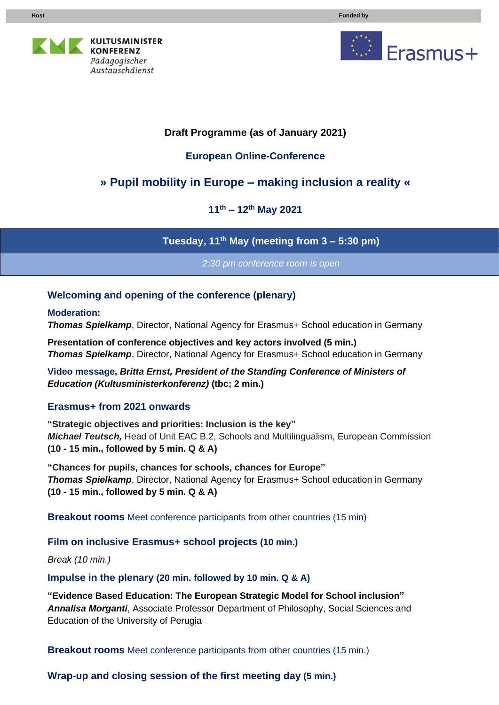



# **Draft Programme (as of January 2021)**

## **European Online-Conference**

# **» Pupil mobility in Europe – making inclusion a reality «**

**11 th – 12 th May 2021**

**Tuesday, 11 th May (meeting from 3 – 5:30 pm)**

*2:30 pm conference room is open*

### **Welcoming and opening of the conference (plenary)**

**Moderation:**

**Thomas Spielkamp**, Director, National Agency for Erasmus+ School education in Germany

**Presentation of conference objectives and key actors involved (5 min.)** *Thomas Spielkamp*, Director, National Agency for Erasmus+ School education in Germany

**Video message,** *Britta Ernst, President of the Standing Conference of Ministers of Education (Kultusministerkonferenz)* **(tbc; 2 min.)**

#### **Erasmus+ from 2021 onwards**

**"Strategic objectives and priorities: Inclusion is the key"** *Michael Teutsch,* Head of Unit EAC B.2, Schools and Multilingualism, European Commission **(10 - 15 min., followed by 5 min. Q & A)**

**"Chances for pupils, chances for schools, chances for Europe" Thomas Spielkamp**, Director, National Agency for Erasmus+ School education in Germany **(10 - 15 min., followed by 5 min. Q & A)**

**Breakout rooms** Meet conference participants from other countries (15 min)

#### **Film on inclusive Erasmus+ school projects (10 min.)**

*Break (10 min.)*

**Impulse in the plenary (20 min. followed by 10 min. Q & A)**

**"Evidence Based Education: The European Strategic Model for School inclusion"** *Annalisa Morganti*, Associate Professor Department of Philosophy, Social Sciences and Education of the University of Perugia

**Breakout rooms** Meet conference participants from other countries (15 min.)

**Wrap-up and closing session of the first meeting day (5 min.)**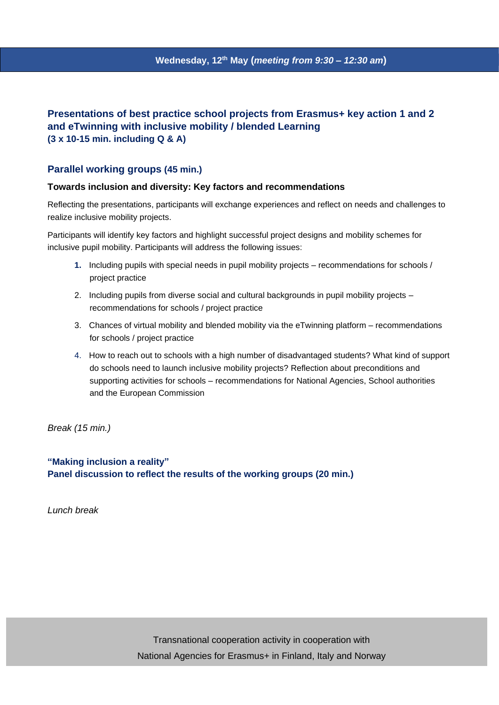#### **Presentations of best practice school projects from Erasmus+ key action 1 and 2 and eTwinning with inclusive mobility / blended Learning (3 x 10-15 min. including Q & A)**

#### **Parallel working groups (45 min.)**

#### **Towards inclusion and diversity: Key factors and recommendations**

Reflecting the presentations, participants will exchange experiences and reflect on needs and challenges to realize inclusive mobility projects.

Participants will identify key factors and highlight successful project designs and mobility schemes for inclusive pupil mobility. Participants will address the following issues:

- **1.** Including pupils with special needs in pupil mobility projects recommendations for schools / project practice
- 2. Including pupils from diverse social and cultural backgrounds in pupil mobility projects recommendations for schools / project practice
- 3. Chances of virtual mobility and blended mobility via the eTwinning platform recommendations for schools / project practice
- 4. How to reach out to schools with a high number of disadvantaged students? What kind of support do schools need to launch inclusive mobility projects? Reflection about preconditions and supporting activities for schools – recommendations for National Agencies, School authorities and the European Commission

*Break (15 min.)*

**"Making inclusion a reality" Panel discussion to reflect the results of the working groups (20 min.)**

*Lunch break*

Transnational cooperation activity in cooperation with National Agencies for Erasmus+ in Finland, Italy and Norway